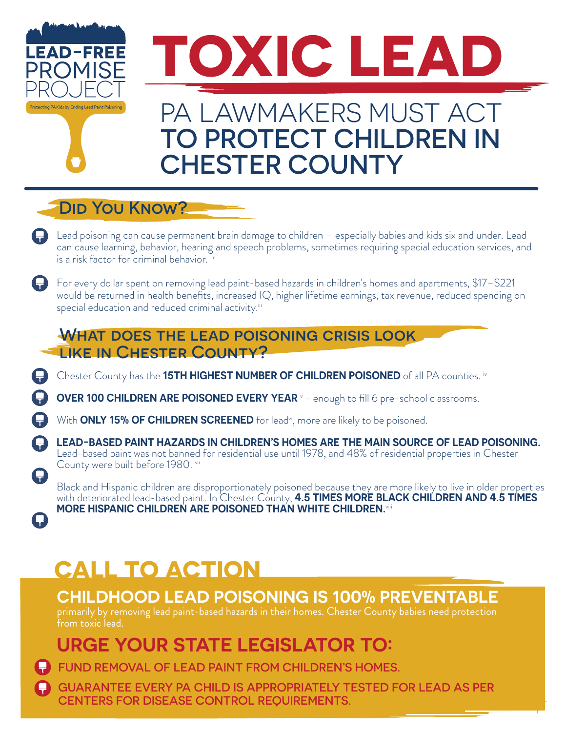

### DID YOU KNOW?

- Lead poisoning can cause permanent brain damage to children especially babies and kids six and under. Lead can cause learning, behavior, hearing and speech problems, sometimes requiring special education services, and is a risk factor for criminal behavior. iii
- For every dollar spent on removing lead paint-based hazards in children's homes and apartments, \$17–\$221 would be returned in health benefits, increased IQ, higher lifetime earnings, tax revenue, reduced spending on special education and reduced criminal activity.<sup>iii</sup>

#### WHAT DOES THE LEAD POISONING CRISIS LOOK LIKE IN CHESTER COUNTY?

Chester County has the **15TH HIGHEST NUMBER OF CHILDREN POISONED** of all PA counties. iv

**OVER 100 CHILDREN ARE POISONED EVERY YEAR** <sup>v</sup> - enough to fill 6 pre-school classrooms.

With **ONLY 15% OF CHILDREN SCREENED** for lead<sup>vi</sup>, more are likely to be poisoned.

**LEAD-BASED PAINT HAZARDS IN CHILDREN'S HOMES ARE THE MAIN SOURCE OF LEAD POISONING.** Lead-based paint was not banned for residential use until 1978, and 48% of residential properties in Chester County were built before 1980. vii

Black and Hispanic children are disproportionately poisoned because they are more likely to live in older properties with deteriorated lead-based paint. In Chester County, **4.5 TIMES MORE BLACK CHILDREN AND 4.5 TIMES MORE HISPANIC CHILDREN ARE POISONED THAN WHITE CHILDREN.**viii

# **CALL TO ACTION**

A

**CHILDHOOD LEAD POISONING IS 100% PREVENTABLE**

primarily by removing lead paint-based hazards in their homes. Chester County babies need protection from toxic lead.

# **URGE YOUR STATE LEGISLATOR TO:**

**ED FUND REMOVAL OF LEAD PAINT FROM CHILDREN'S HOMES.** 

GUARANTEE EVERY PA CHILD IS APPROPRIATELY TESTED FOR LEAD AS PER CENTERS FOR DISEASE CONTROL REQUIREMENTS.